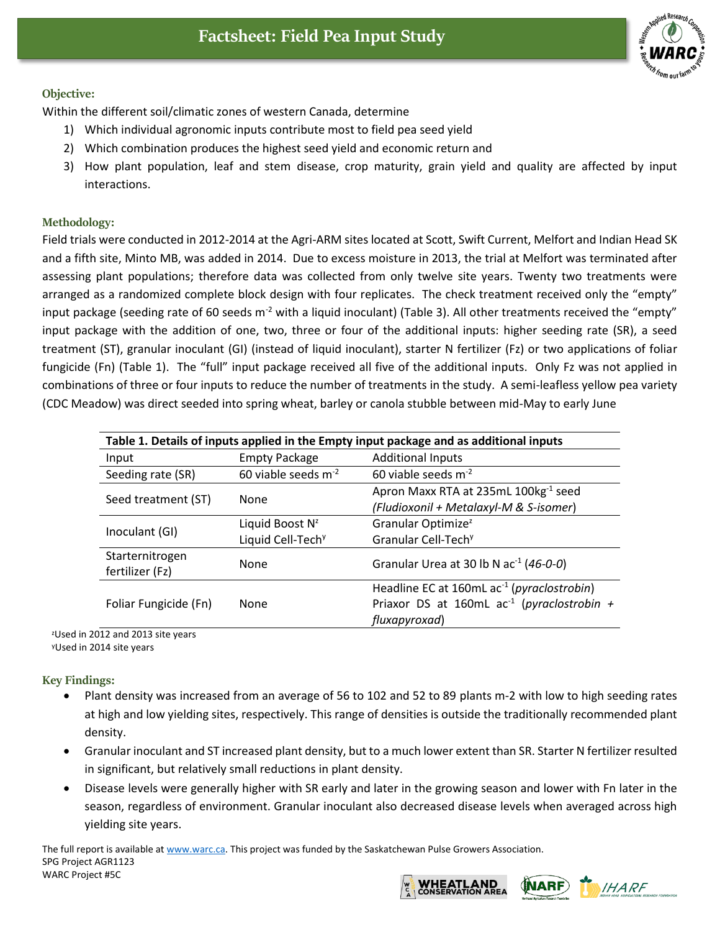

## **Objective:**

Within the different soil/climatic zones of western Canada, determine

- 1) Which individual agronomic inputs contribute most to field pea seed yield
- 2) Which combination produces the highest seed yield and economic return and
- 3) How plant population, leaf and stem disease, crop maturity, grain yield and quality are affected by input interactions.

## **Methodology:**

Field trials were conducted in 2012-2014 at the Agri-ARM sites located at Scott, Swift Current, Melfort and Indian Head SK and a fifth site, Minto MB, was added in 2014. Due to excess moisture in 2013, the trial at Melfort was terminated after assessing plant populations; therefore data was collected from only twelve site years. Twenty two treatments were arranged as a randomized complete block design with four replicates. The check treatment received only the "empty" input package (seeding rate of 60 seeds  $m<sup>-2</sup>$  with a liquid inoculant) (Table 3). All other treatments received the "empty" input package with the addition of one, two, three or four of the additional inputs: higher seeding rate (SR), a seed treatment (ST), granular inoculant (GI) (instead of liquid inoculant), starter N fertilizer (Fz) or two applications of foliar fungicide (Fn) (Table 1). The "full" input package received all five of the additional inputs. Only Fz was not applied in combinations of three or four inputs to reduce the number of treatments in the study. A semi-leafless yellow pea variety (CDC Meadow) was direct seeded into spring wheat, barley or canola stubble between mid-May to early June

| Table 1. Details of inputs applied in the Empty input package and as additional inputs |                               |                                                        |
|----------------------------------------------------------------------------------------|-------------------------------|--------------------------------------------------------|
| Input                                                                                  | <b>Empty Package</b>          | <b>Additional Inputs</b>                               |
| Seeding rate (SR)                                                                      | 60 viable seeds $m^{-2}$      | 60 viable seeds $m^{-2}$                               |
| Seed treatment (ST)                                                                    | None                          | Apron Maxx RTA at 235mL 100kg <sup>-1</sup> seed       |
|                                                                                        |                               | (Fludioxonil + Metalaxyl-M & S-isomer)                 |
| Inoculant (GI)                                                                         | Liquid Boost N <sup>z</sup>   | Granular Optimize <sup>z</sup>                         |
|                                                                                        | Liquid Cell-Tech <sup>y</sup> | Granular Cell-Tech <sup>y</sup>                        |
| Starternitrogen<br>fertilizer (Fz)                                                     | None                          | Granular Urea at 30 lb N $ac^{-1}$ (46-0-0)            |
| Foliar Fungicide (Fn)                                                                  | None                          | Headline EC at 160mL ac <sup>-1</sup> (pyraclostrobin) |
|                                                                                        |                               | Priaxor DS at 160mL $ac^{-1}$ (pyraclostrobin +        |
|                                                                                        |                               | fluxapyroxad)                                          |

<sup>z</sup>Used in 2012 and 2013 site years <sup>y</sup>Used in 2014 site years

**Key Findings:**

- Plant density was increased from an average of 56 to 102 and 52 to 89 plants m-2 with low to high seeding rates at high and low yielding sites, respectively. This range of densities is outside the traditionally recommended plant density.
- Granular inoculant and ST increased plant density, but to a much lower extent than SR. Starter N fertilizer resulted in significant, but relatively small reductions in plant density.
- Disease levels were generally higher with SR early and later in the growing season and lower with Fn later in the season, regardless of environment. Granular inoculant also decreased disease levels when averaged across high yielding site years.

The full report is available at [www.warc.ca.](http://www.warc.ca/) This project was funded by the Saskatchewan Pulse Growers Association. SPG Project AGR1123 WARC Project #5C